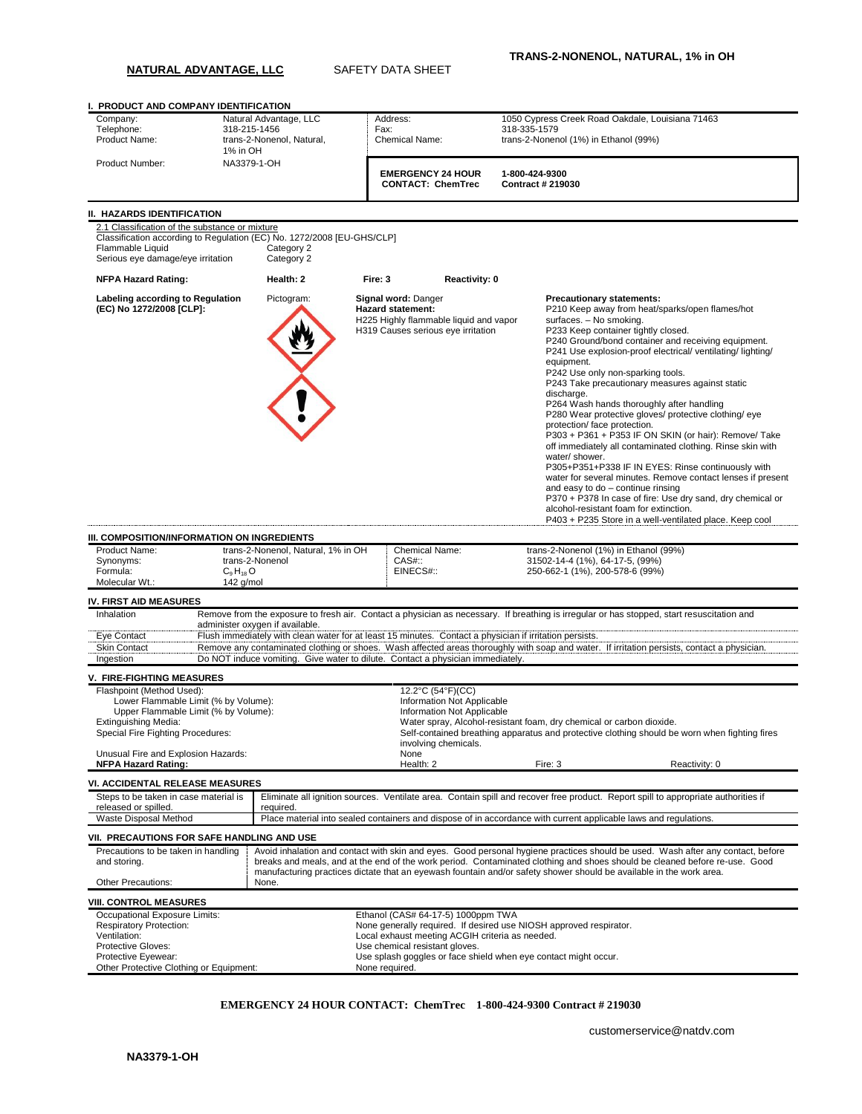## **NATURAL ADVANTAGE, LLC** SAFETY DATA SHEET

| I. PRODUCT AND COMPANY IDENTIFICATION                                                                                           |                        |                                                                                                         |                                                 |                                                                              |  |                                                                                                                                                                                                                                                                                                                                                                                                                                                                                                                                                                                                                                                                                                                                                                                                                                                                                                                                                                                                          |               |  |  |
|---------------------------------------------------------------------------------------------------------------------------------|------------------------|---------------------------------------------------------------------------------------------------------|-------------------------------------------------|------------------------------------------------------------------------------|--|----------------------------------------------------------------------------------------------------------------------------------------------------------------------------------------------------------------------------------------------------------------------------------------------------------------------------------------------------------------------------------------------------------------------------------------------------------------------------------------------------------------------------------------------------------------------------------------------------------------------------------------------------------------------------------------------------------------------------------------------------------------------------------------------------------------------------------------------------------------------------------------------------------------------------------------------------------------------------------------------------------|---------------|--|--|
| Company:                                                                                                                        | Natural Advantage, LLC |                                                                                                         |                                                 | Address:                                                                     |  | 1050 Cypress Creek Road Oakdale, Louisiana 71463                                                                                                                                                                                                                                                                                                                                                                                                                                                                                                                                                                                                                                                                                                                                                                                                                                                                                                                                                         |               |  |  |
| Telephone:<br>318-215-1456<br>Product Name:                                                                                     |                        | trans-2-Nonenol, Natural,                                                                               |                                                 | Fax:<br><b>Chemical Name:</b>                                                |  | 318-335-1579                                                                                                                                                                                                                                                                                                                                                                                                                                                                                                                                                                                                                                                                                                                                                                                                                                                                                                                                                                                             |               |  |  |
|                                                                                                                                 | 1% in OH               |                                                                                                         |                                                 |                                                                              |  | trans-2-Nonenol (1%) in Ethanol (99%)                                                                                                                                                                                                                                                                                                                                                                                                                                                                                                                                                                                                                                                                                                                                                                                                                                                                                                                                                                    |               |  |  |
| Product Number:                                                                                                                 | NA3379-1-OH            |                                                                                                         |                                                 | <b>EMERGENCY 24 HOUR</b><br><b>CONTACT: ChemTrec</b>                         |  | 1-800-424-9300<br><b>Contract # 219030</b>                                                                                                                                                                                                                                                                                                                                                                                                                                                                                                                                                                                                                                                                                                                                                                                                                                                                                                                                                               |               |  |  |
| II. HAZARDS IDENTIFICATION                                                                                                      |                        |                                                                                                         |                                                 |                                                                              |  |                                                                                                                                                                                                                                                                                                                                                                                                                                                                                                                                                                                                                                                                                                                                                                                                                                                                                                                                                                                                          |               |  |  |
| 2.1 Classification of the substance or mixture                                                                                  |                        |                                                                                                         |                                                 |                                                                              |  |                                                                                                                                                                                                                                                                                                                                                                                                                                                                                                                                                                                                                                                                                                                                                                                                                                                                                                                                                                                                          |               |  |  |
| Classification according to Regulation (EC) No. 1272/2008 [EU-GHS/CLP]<br>Flammable Liquid<br>Serious eye damage/eye irritation |                        | Category 2<br>Category 2                                                                                |                                                 |                                                                              |  |                                                                                                                                                                                                                                                                                                                                                                                                                                                                                                                                                                                                                                                                                                                                                                                                                                                                                                                                                                                                          |               |  |  |
| <b>NFPA Hazard Rating:</b>                                                                                                      |                        | Health: 2                                                                                               | Fire: 3                                         | Reactivity: 0                                                                |  |                                                                                                                                                                                                                                                                                                                                                                                                                                                                                                                                                                                                                                                                                                                                                                                                                                                                                                                                                                                                          |               |  |  |
| Labeling according to Regulation<br>(EC) No 1272/2008 [CLP]:<br>III. COMPOSITION/INFORMATION ON INGREDIENTS                     |                        | Pictogram:                                                                                              | Signal word: Danger<br><b>Hazard statement:</b> | H225 Highly flammable liquid and vapor<br>H319 Causes serious eye irritation |  | <b>Precautionary statements:</b><br>P210 Keep away from heat/sparks/open flames/hot<br>surfaces. - No smoking.<br>P233 Keep container tightly closed.<br>P240 Ground/bond container and receiving equipment.<br>P241 Use explosion-proof electrical/ventilating/lighting/<br>equipment.<br>P242 Use only non-sparking tools.<br>P243 Take precautionary measures against static<br>discharge.<br>P264 Wash hands thoroughly after handling<br>P280 Wear protective gloves/ protective clothing/ eye<br>protection/ face protection.<br>P303 + P361 + P353 IF ON SKIN (or hair): Remove/ Take<br>off immediately all contaminated clothing. Rinse skin with<br>water/shower.<br>P305+P351+P338 IF IN EYES: Rinse continuously with<br>water for several minutes. Remove contact lenses if present<br>and easy to do - continue rinsing<br>P370 + P378 In case of fire: Use dry sand, dry chemical or<br>alcohol-resistant foam for extinction.<br>P403 + P235 Store in a well-ventilated place. Keep cool |               |  |  |
| Product Name:                                                                                                                   |                        | trans-2-Nonenol, Natural, 1% in OH                                                                      |                                                 | <b>Chemical Name:</b>                                                        |  | trans-2-Nonenol (1%) in Ethanol (99%)                                                                                                                                                                                                                                                                                                                                                                                                                                                                                                                                                                                                                                                                                                                                                                                                                                                                                                                                                                    |               |  |  |
| Synonyms:<br>Formula:                                                                                                           | $C_9H_{18}O$           | trans-2-Nonenol                                                                                         | $CAS#$ ::                                       | EINECS#::                                                                    |  | 31502-14-4 (1%), 64-17-5, (99%)<br>250-662-1 (1%), 200-578-6 (99%)                                                                                                                                                                                                                                                                                                                                                                                                                                                                                                                                                                                                                                                                                                                                                                                                                                                                                                                                       |               |  |  |
| Molecular Wt.:                                                                                                                  | 142 g/mol              |                                                                                                         |                                                 |                                                                              |  |                                                                                                                                                                                                                                                                                                                                                                                                                                                                                                                                                                                                                                                                                                                                                                                                                                                                                                                                                                                                          |               |  |  |
| <b>IV. FIRST AID MEASURES</b>                                                                                                   |                        |                                                                                                         |                                                 |                                                                              |  |                                                                                                                                                                                                                                                                                                                                                                                                                                                                                                                                                                                                                                                                                                                                                                                                                                                                                                                                                                                                          |               |  |  |
| Inhalation                                                                                                                      |                        |                                                                                                         |                                                 |                                                                              |  | Remove from the exposure to fresh air. Contact a physician as necessary. If breathing is irregular or has stopped, start resuscitation and                                                                                                                                                                                                                                                                                                                                                                                                                                                                                                                                                                                                                                                                                                                                                                                                                                                               |               |  |  |
|                                                                                                                                 |                        | administer oxygen if available.                                                                         |                                                 |                                                                              |  |                                                                                                                                                                                                                                                                                                                                                                                                                                                                                                                                                                                                                                                                                                                                                                                                                                                                                                                                                                                                          |               |  |  |
| Eye Contact                                                                                                                     |                        | Flush immediately with clean water for at least 15 minutes. Contact a physician if irritation persists. |                                                 |                                                                              |  |                                                                                                                                                                                                                                                                                                                                                                                                                                                                                                                                                                                                                                                                                                                                                                                                                                                                                                                                                                                                          |               |  |  |
| <b>Skin Contact</b>                                                                                                             |                        |                                                                                                         |                                                 |                                                                              |  | Remove any contaminated clothing or shoes. Wash affected areas thoroughly with soap and water. If irritation persists, contact a physician.                                                                                                                                                                                                                                                                                                                                                                                                                                                                                                                                                                                                                                                                                                                                                                                                                                                              |               |  |  |
| Ingestion                                                                                                                       |                        | Do NOT induce vomiting. Give water to dilute. Contact a physician immediately.                          |                                                 |                                                                              |  |                                                                                                                                                                                                                                                                                                                                                                                                                                                                                                                                                                                                                                                                                                                                                                                                                                                                                                                                                                                                          |               |  |  |
| <b>V. FIRE-FIGHTING MEASURES</b>                                                                                                |                        |                                                                                                         |                                                 |                                                                              |  |                                                                                                                                                                                                                                                                                                                                                                                                                                                                                                                                                                                                                                                                                                                                                                                                                                                                                                                                                                                                          |               |  |  |
| Flashpoint (Method Used):<br>Lower Flammable Limit (% by Volume):                                                               |                        |                                                                                                         |                                                 | 12.2°C (54°F)(CC)                                                            |  |                                                                                                                                                                                                                                                                                                                                                                                                                                                                                                                                                                                                                                                                                                                                                                                                                                                                                                                                                                                                          |               |  |  |
| Upper Flammable Limit (% by Volume):                                                                                            |                        | Information Not Applicable<br>Information Not Applicable                                                |                                                 |                                                                              |  |                                                                                                                                                                                                                                                                                                                                                                                                                                                                                                                                                                                                                                                                                                                                                                                                                                                                                                                                                                                                          |               |  |  |
| Extinguishing Media:                                                                                                            |                        |                                                                                                         |                                                 |                                                                              |  | Water spray, Alcohol-resistant foam, dry chemical or carbon dioxide.                                                                                                                                                                                                                                                                                                                                                                                                                                                                                                                                                                                                                                                                                                                                                                                                                                                                                                                                     |               |  |  |
| Special Fire Fighting Procedures:                                                                                               |                        |                                                                                                         |                                                 | involving chemicals.                                                         |  | Self-contained breathing apparatus and protective clothing should be worn when fighting fires                                                                                                                                                                                                                                                                                                                                                                                                                                                                                                                                                                                                                                                                                                                                                                                                                                                                                                            |               |  |  |
| Unusual Fire and Explosion Hazards:                                                                                             |                        |                                                                                                         |                                                 | None                                                                         |  |                                                                                                                                                                                                                                                                                                                                                                                                                                                                                                                                                                                                                                                                                                                                                                                                                                                                                                                                                                                                          |               |  |  |
| <b>NFPA Hazard Rating:</b>                                                                                                      |                        |                                                                                                         |                                                 | Health: 2                                                                    |  | Fire: 3                                                                                                                                                                                                                                                                                                                                                                                                                                                                                                                                                                                                                                                                                                                                                                                                                                                                                                                                                                                                  | Reactivity: 0 |  |  |
| <b>VI. ACCIDENTAL RELEASE MEASURES</b>                                                                                          |                        |                                                                                                         |                                                 |                                                                              |  |                                                                                                                                                                                                                                                                                                                                                                                                                                                                                                                                                                                                                                                                                                                                                                                                                                                                                                                                                                                                          |               |  |  |
| Steps to be taken in case material is<br>released or spilled.                                                                   |                        |                                                                                                         |                                                 |                                                                              |  | Eliminate all ignition sources. Ventilate area. Contain spill and recover free product. Report spill to appropriate authorities if                                                                                                                                                                                                                                                                                                                                                                                                                                                                                                                                                                                                                                                                                                                                                                                                                                                                       |               |  |  |
| Waste Disposal Method                                                                                                           |                        | required.                                                                                               |                                                 |                                                                              |  | Place material into sealed containers and dispose of in accordance with current applicable laws and regulations.                                                                                                                                                                                                                                                                                                                                                                                                                                                                                                                                                                                                                                                                                                                                                                                                                                                                                         |               |  |  |
| VII. PRECAUTIONS FOR SAFE HANDLING AND USE                                                                                      |                        |                                                                                                         |                                                 |                                                                              |  |                                                                                                                                                                                                                                                                                                                                                                                                                                                                                                                                                                                                                                                                                                                                                                                                                                                                                                                                                                                                          |               |  |  |
| Precautions to be taken in handling<br>and storing.                                                                             |                        |                                                                                                         |                                                 |                                                                              |  | Avoid inhalation and contact with skin and eyes. Good personal hygiene practices should be used. Wash after any contact, before<br>breaks and meals, and at the end of the work period. Contaminated clothing and shoes should be cleaned before re-use. Good                                                                                                                                                                                                                                                                                                                                                                                                                                                                                                                                                                                                                                                                                                                                            |               |  |  |
|                                                                                                                                 |                        |                                                                                                         |                                                 |                                                                              |  | manufacturing practices dictate that an eyewash fountain and/or safety shower should be available in the work area.                                                                                                                                                                                                                                                                                                                                                                                                                                                                                                                                                                                                                                                                                                                                                                                                                                                                                      |               |  |  |
| Other Precautions:                                                                                                              |                        | None.                                                                                                   |                                                 |                                                                              |  |                                                                                                                                                                                                                                                                                                                                                                                                                                                                                                                                                                                                                                                                                                                                                                                                                                                                                                                                                                                                          |               |  |  |
| <b>VIII. CONTROL MEASURES</b>                                                                                                   |                        |                                                                                                         |                                                 |                                                                              |  |                                                                                                                                                                                                                                                                                                                                                                                                                                                                                                                                                                                                                                                                                                                                                                                                                                                                                                                                                                                                          |               |  |  |
| Occupational Exposure Limits:<br><b>Respiratory Protection:</b>                                                                 |                        |                                                                                                         |                                                 | Ethanol (CAS# 64-17-5) 1000ppm TWA                                           |  | None generally required. If desired use NIOSH approved respirator.                                                                                                                                                                                                                                                                                                                                                                                                                                                                                                                                                                                                                                                                                                                                                                                                                                                                                                                                       |               |  |  |
| Ventilation:                                                                                                                    |                        |                                                                                                         |                                                 | Local exhaust meeting ACGIH criteria as needed.                              |  |                                                                                                                                                                                                                                                                                                                                                                                                                                                                                                                                                                                                                                                                                                                                                                                                                                                                                                                                                                                                          |               |  |  |
| Protective Gloves:                                                                                                              |                        |                                                                                                         |                                                 | Use chemical resistant gloves.                                               |  |                                                                                                                                                                                                                                                                                                                                                                                                                                                                                                                                                                                                                                                                                                                                                                                                                                                                                                                                                                                                          |               |  |  |
| Protective Eyewear:<br>Other Protective Clothing or Equipment:                                                                  |                        |                                                                                                         | None required.                                  |                                                                              |  | Use splash goggles or face shield when eye contact might occur.                                                                                                                                                                                                                                                                                                                                                                                                                                                                                                                                                                                                                                                                                                                                                                                                                                                                                                                                          |               |  |  |

## **EMERGENCY 24 HOUR CONTACT: ChemTrec 1-800-424-9300 Contract # 219030**